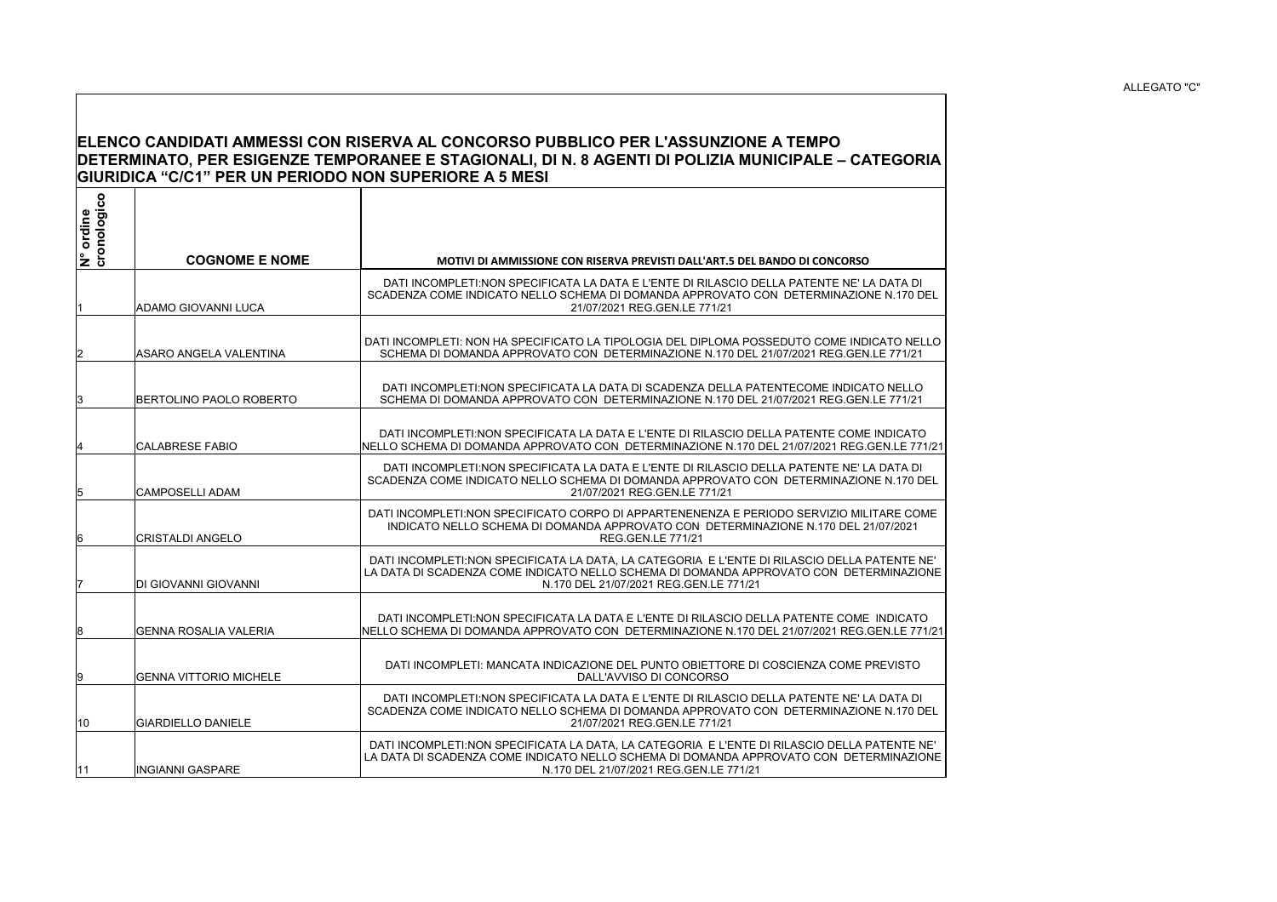## ALLEGATO "C"

## **ELENCO CANDIDATI AMMESSI CON RISERVA AL CONCORSO PUBBLICO PER L'ASSUNZIONE A TEMPO DETERMINATO, PER ESIGENZE TEMPORANEE E STAGIONALI, DI N. 8 AGENTI DI POLIZIA MUNICIPALE – CATEGORIA GIURIDICA "C/C1" PER UN PERIODO NON SUPERIORE A 5 MESI**

| N° ordine<br>cronologico | <b>COGNOME E NOME</b>         | <b>MOTIVI DI AMMISSIONE CON RISERVA PREVISTI DALL'ART.5 DEL BANDO DI CONCORSO</b>                                                                                                                                                 |
|--------------------------|-------------------------------|-----------------------------------------------------------------------------------------------------------------------------------------------------------------------------------------------------------------------------------|
|                          | ADAMO GIOVANNI LUCA           | DATI INCOMPLETI:NON SPECIFICATA LA DATA E L'ENTE DI RILASCIO DELLA PATENTE NE' LA DATA DI<br>SCADENZA COME INDICATO NELLO SCHEMA DI DOMANDA APPROVATO CON DETERMINAZIONE N.170 DEL<br>21/07/2021 REG.GEN.LE 771/21                |
|                          | IASARO ANGELA VALENTINA       | DATI INCOMPLETI: NON HA SPECIFICATO LA TIPOLOGIA DEL DIPLOMA POSSEDUTO COME INDICATO NELLO<br>SCHEMA DI DOMANDA APPROVATO CON DETERMINAZIONE N.170 DEL 21/07/2021 REG.GEN.LE 771/21                                               |
| 13                       | BERTOLINO PAOLO ROBERTO       | DATI INCOMPLETI:NON SPECIFICATA LA DATA DI SCADENZA DELLA PATENTECOME INDICATO NELLO<br>SCHEMA DI DOMANDA APPROVATO CON DETERMINAZIONE N.170 DEL 21/07/2021 REG.GEN.LE 771/21                                                     |
|                          | <b>CALABRESE FABIO</b>        | DATI INCOMPLETI:NON SPECIFICATA LA DATA E L'ENTE DI RILASCIO DELLA PATENTE COME INDICATO<br>NELLO SCHEMA DI DOMANDA APPROVATO CON DETERMINAZIONE N.170 DEL 21/07/2021 REG.GEN.LE 771/21                                           |
| 15                       | <b>CAMPOSELLI ADAM</b>        | DATI INCOMPLETI:NON SPECIFICATA LA DATA E L'ENTE DI RILASCIO DELLA PATENTE NE' LA DATA DI<br>SCADENZA COME INDICATO NELLO SCHEMA DI DOMANDA APPROVATO CON DETERMINAZIONE N.170 DEL<br>21/07/2021 REG.GEN.LE 771/21                |
| 16                       | <b>CRISTALDI ANGELO</b>       | DATI INCOMPLETI:NON SPECIFICATO CORPO DI APPARTENENENZA E PERIODO SERVIZIO MILITARE COME<br>INDICATO NELLO SCHEMA DI DOMANDA APPROVATO CON DETERMINAZIONE N.170 DEL 21/07/2021<br><b>REG.GEN.LE 771/21</b>                        |
|                          | <b>DI GIOVANNI GIOVANNI</b>   | DATI INCOMPLETI:NON SPECIFICATA LA DATA. LA CATEGORIA E L'ENTE DI RILASCIO DELLA PATENTE NE'<br>LA DATA DI SCADENZA COME INDICATO NELLO SCHEMA DI DOMANDA APPROVATO CON DETERMINAZIONE<br>N.170 DEL 21/07/2021 REG.GEN.LE 771/21  |
| 18                       | <b>GENNA ROSALIA VALERIA</b>  | DATI INCOMPLETI:NON SPECIFICATA LA DATA E L'ENTE DI RILASCIO DELLA PATENTE COME INDICATO<br>NELLO SCHEMA DI DOMANDA APPROVATO CON DETERMINAZIONE N.170 DEL 21/07/2021 REG.GEN.LE 771/21                                           |
| 19                       | <b>GENNA VITTORIO MICHELE</b> | DATI INCOMPLETI: MANCATA INDICAZIONE DEL PUNTO OBIETTORE DI COSCIENZA COME PREVISTO<br>DALL'AVVISO DI CONCORSO                                                                                                                    |
| 10                       | <b>GIARDIELLO DANIELE</b>     | DATI INCOMPLETI:NON SPECIFICATA LA DATA E L'ENTE DI RILASCIO DELLA PATENTE NE' LA DATA DI<br>SCADENZA COME INDICATO NELLO SCHEMA DI DOMANDA APPROVATO CON DETERMINAZIONE N.170 DEL<br>21/07/2021 REG.GEN.LE 771/21                |
| 11                       | <b>INGIANNI GASPARE</b>       | DATI INCOMPLETI: NON SPECIFICATA LA DATA, LA CATEGORIA E L'ENTE DI RILASCIO DELLA PATENTE NE'<br>LA DATA DI SCADENZA COME INDICATO NELLO SCHEMA DI DOMANDA APPROVATO CON DETERMINAZIONE<br>N.170 DEL 21/07/2021 REG.GEN.LE 771/21 |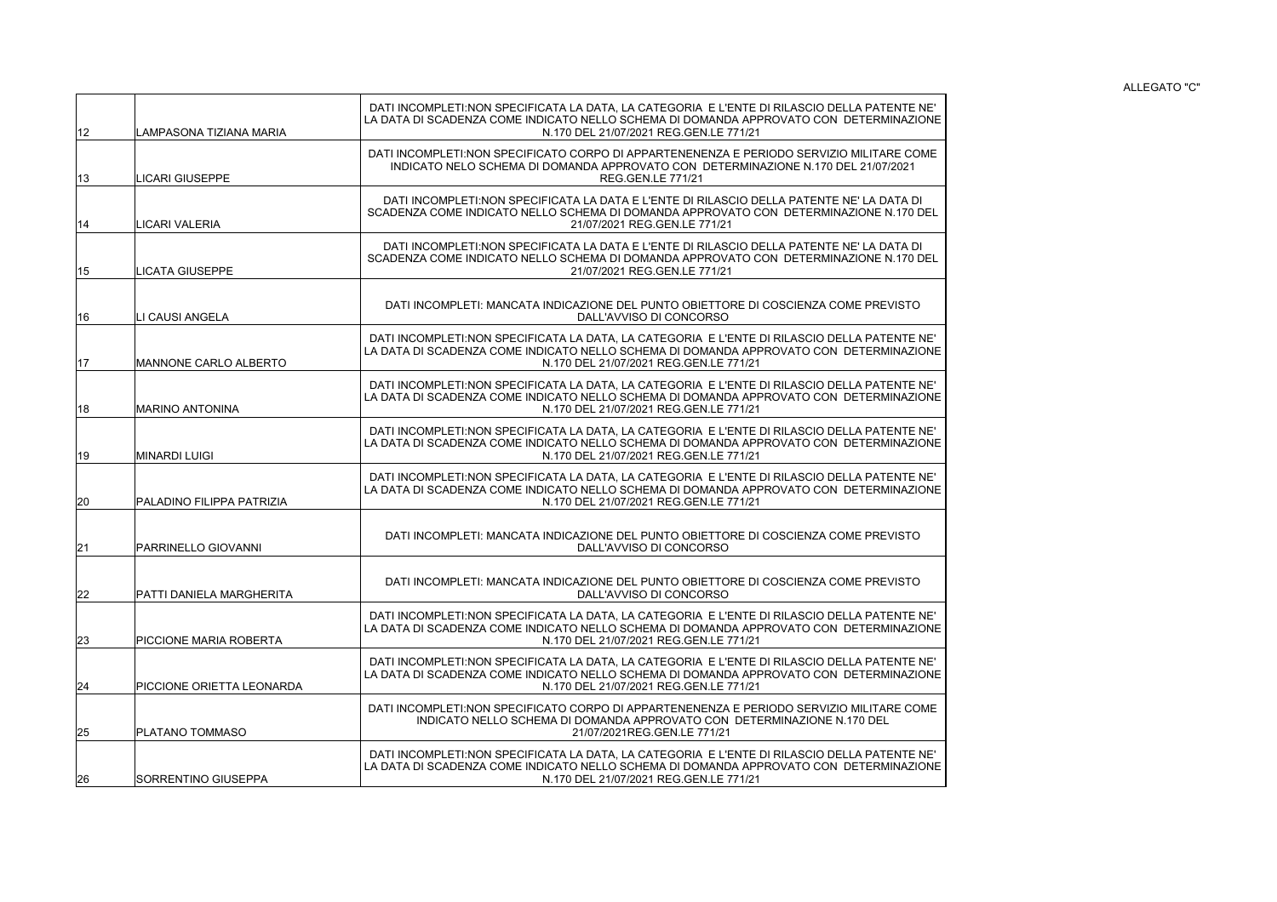ALLEGATO "C"

| 12 | LAMPASONA TIZIANA MARIA      | DATI INCOMPLETI:NON SPECIFICATA LA DATA. LA CATEGORIA E L'ENTE DI RILASCIO DELLA PATENTE NE'<br>LA DATA DI SCADENZA COME INDICATO NELLO SCHEMA DI DOMANDA APPROVATO CON DETERMINAZIONE<br>N.170 DEL 21/07/2021 REG.GEN.LE 771/21 |
|----|------------------------------|----------------------------------------------------------------------------------------------------------------------------------------------------------------------------------------------------------------------------------|
| 13 | LICARI GIUSEPPE              | DATI INCOMPLETI:NON SPECIFICATO CORPO DI APPARTENENENZA E PERIODO SERVIZIO MILITARE COME<br>INDICATO NELO SCHEMA DI DOMANDA APPROVATO CON DETERMINAZIONE N.170 DEL 21/07/2021<br><b>REG.GEN.LE 771/21</b>                        |
| 14 | <b>LICARI VALERIA</b>        | DATI INCOMPLETI:NON SPECIFICATA LA DATA E L'ENTE DI RILASCIO DELLA PATENTE NE' LA DATA DI<br>SCADENZA COME INDICATO NELLO SCHEMA DI DOMANDA APPROVATO CON DETERMINAZIONE N.170 DEL<br>21/07/2021 REG.GEN.LE 771/21               |
| 15 | <b>LICATA GIUSEPPE</b>       | DATI INCOMPLETI:NON SPECIFICATA LA DATA E L'ENTE DI RILASCIO DELLA PATENTE NE' LA DATA DI<br>SCADENZA COME INDICATO NELLO SCHEMA DI DOMANDA APPROVATO CON DETERMINAZIONE N.170 DEL<br>21/07/2021 REG.GEN.LE 771/21               |
| 16 | LI CAUSI ANGELA              | DATI INCOMPLETI: MANCATA INDICAZIONE DEL PUNTO OBIETTORE DI COSCIENZA COME PREVISTO<br>DALL'AVVISO DI CONCORSO                                                                                                                   |
| 17 | <b>MANNONE CARLO ALBERTO</b> | DATI INCOMPLETI:NON SPECIFICATA LA DATA, LA CATEGORIA E L'ENTE DI RILASCIO DELLA PATENTE NE'<br>LA DATA DI SCADENZA COME INDICATO NELLO SCHEMA DI DOMANDA APPROVATO CON DETERMINAZIONE<br>N.170 DEL 21/07/2021 REG.GEN.LE 771/21 |
| 18 | <b>MARINO ANTONINA</b>       | DATI INCOMPLETI:NON SPECIFICATA LA DATA, LA CATEGORIA E L'ENTE DI RILASCIO DELLA PATENTE NE'<br>LA DATA DI SCADENZA COME INDICATO NELLO SCHEMA DI DOMANDA APPROVATO CON DETERMINAZIONE<br>N.170 DEL 21/07/2021 REG.GEN.LE 771/21 |
| 19 | <b>MINARDI LUIGI</b>         | DATI INCOMPLETI:NON SPECIFICATA LA DATA. LA CATEGORIA E L'ENTE DI RILASCIO DELLA PATENTE NE'<br>LA DATA DI SCADENZA COME INDICATO NELLO SCHEMA DI DOMANDA APPROVATO CON DETERMINAZIONE<br>N.170 DEL 21/07/2021 REG.GEN.LE 771/21 |
| 20 | PALADINO FILIPPA PATRIZIA    | DATI INCOMPLETI:NON SPECIFICATA LA DATA, LA CATEGORIA E L'ENTE DI RILASCIO DELLA PATENTE NE'<br>LA DATA DI SCADENZA COME INDICATO NELLO SCHEMA DI DOMANDA APPROVATO CON DETERMINAZIONE<br>N.170 DEL 21/07/2021 REG.GEN.LE 771/21 |
| 21 | PARRINELLO GIOVANNI          | DATI INCOMPLETI: MANCATA INDICAZIONE DEL PUNTO OBIETTORE DI COSCIENZA COME PREVISTO<br>DALL'AVVISO DI CONCORSO                                                                                                                   |
| 22 | PATTI DANIELA MARGHERITA     | DATI INCOMPLETI: MANCATA INDICAZIONE DEL PUNTO OBIETTORE DI COSCIENZA COME PREVISTO<br>DALL'AVVISO DI CONCORSO                                                                                                                   |
| 23 | PICCIONE MARIA ROBERTA       | DATI INCOMPLETI:NON SPECIFICATA LA DATA, LA CATEGORIA E L'ENTE DI RILASCIO DELLA PATENTE NE'<br>LA DATA DI SCADENZA COME INDICATO NELLO SCHEMA DI DOMANDA APPROVATO CON DETERMINAZIONE<br>N.170 DEL 21/07/2021 REG.GEN.LE 771/21 |
| 24 | PICCIONE ORIETTA LEONARDA    | DATI INCOMPLETI:NON SPECIFICATA LA DATA, LA CATEGORIA E L'ENTE DI RILASCIO DELLA PATENTE NE'<br>LA DATA DI SCADENZA COME INDICATO NELLO SCHEMA DI DOMANDA APPROVATO CON DETERMINAZIONE<br>N.170 DEL 21/07/2021 REG.GEN.LE 771/21 |
| 25 | <b>PLATANO TOMMASO</b>       | DATI INCOMPLETI:NON SPECIFICATO CORPO DI APPARTENENENZA E PERIODO SERVIZIO MILITARE COME<br>INDICATO NELLO SCHEMA DI DOMANDA APPROVATO CON DETERMINAZIONE N.170 DEL<br>21/07/2021REG.GEN.LE 771/21                               |
| 26 | SORRENTINO GIUSEPPA          | DATI INCOMPLETI:NON SPECIFICATA LA DATA, LA CATEGORIA E L'ENTE DI RILASCIO DELLA PATENTE NE'<br>LA DATA DI SCADENZA COME INDICATO NELLO SCHEMA DI DOMANDA APPROVATO CON DETERMINAZIONE<br>N.170 DEL 21/07/2021 REG.GEN.LE 771/21 |